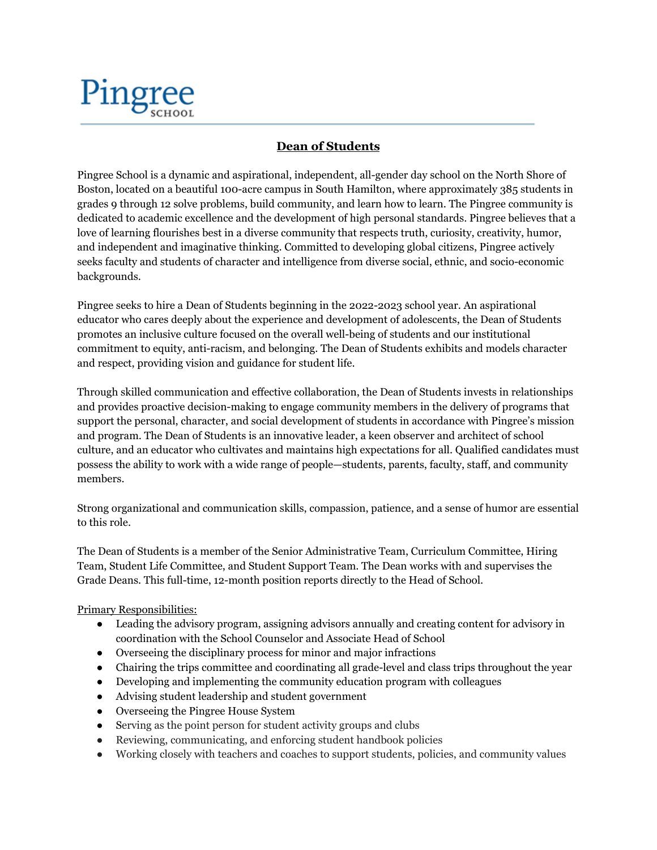

## **Dean of Students**

Pingree School is a dynamic and aspirational, independent, all-gender day school on the North Shore of Boston, located on a beautiful 100-acre campus in South Hamilton, where approximately 385 students in grades 9 through 12 solve problems, build community, and learn how to learn. The Pingree community is dedicated to academic excellence and the development of high personal standards. Pingree believes that a love of learning flourishes best in a diverse community that respects truth, curiosity, creativity, humor, and independent and imaginative thinking. Committed to developing global citizens, Pingree actively seeks faculty and students of character and intelligence from diverse social, ethnic, and socio-economic backgrounds.

Pingree seeks to hire a Dean of Students beginning in the 2022-2023 school year. An aspirational educator who cares deeply about the experience and development of adolescents, the Dean of Students promotes an inclusive culture focused on the overall well-being of students and our institutional commitment to equity, anti-racism, and belonging. The Dean of Students exhibits and models character and respect, providing vision and guidance for student life.

Through skilled communication and effective collaboration, the Dean of Students invests in relationships and provides proactive decision-making to engage community members in the delivery of programs that support the personal, character, and social development of students in accordance with Pingree's mission and program. The Dean of Students is an innovative leader, a keen observer and architect of school culture, and an educator who cultivates and maintains high expectations for all. Qualified candidates must possess the ability to work with a wide range of people—students, parents, faculty, staff, and community members.

Strong organizational and communication skills, compassion, patience, and a sense of humor are essential to this role.

The Dean of Students is a member of the Senior Administrative Team, Curriculum Committee, Hiring Team, Student Life Committee, and Student Support Team. The Dean works with and supervises the Grade Deans. This full-time, 12-month position reports directly to the Head of School.

Primary Responsibilities:

- Leading the advisory program, assigning advisors annually and creating content for advisory in coordination with the School Counselor and Associate Head of School
- Overseeing the disciplinary process for minor and major infractions
- Chairing the trips committee and coordinating all grade-level and class trips throughout the year
- Developing and implementing the community education program with colleagues
- Advising student leadership and student government
- Overseeing the Pingree House System
- Serving as the point person for student activity groups and clubs
- Reviewing, communicating, and enforcing student handbook policies
- Working closely with teachers and coaches to support students, policies, and community values